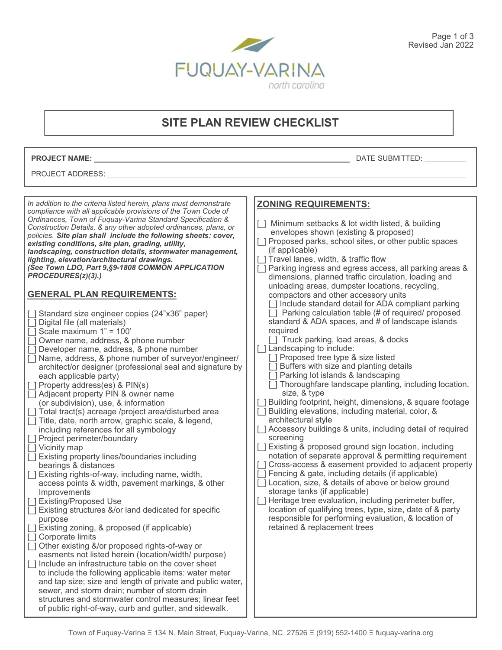

# **SITE PLAN REVIEW CHECKLIST**

**PROJECT NAME:** DATE SUBMITTED:

#### PROJECT ADDRESS:

| <b>ZONING REQUIREMENTS:</b><br>[ ] Minimum setbacks & lot width listed, & building<br>envelopes shown (existing & proposed)<br>[] Proposed parks, school sites, or other public spaces<br>(if applicable)<br>[] Travel lanes, width, & traffic flow<br>[] Parking ingress and egress access, all parking areas &<br>dimensions, planned traffic circulation, loading and<br>unloading areas, dumpster locations, recycling,<br>compactors and other accessory units<br>[ ] Include standard detail for ADA compliant parking<br>[] Parking calculation table (# of required/ proposed<br>standard & ADA spaces, and # of landscape islands<br>required<br>[ ] Truck parking, load areas, & docks<br>[] Landscaping to include:<br>Developer name, address, & phone number<br>[] Proposed tree type & size listed<br>Name, address, & phone number of surveyor/engineer/<br>Buffers with size and planting details<br>architect/or designer (professional seal and signature by<br>] Parking lot islands & landscaping<br>each applicable party)<br>[] Thoroughfare landscape planting, including location,<br>size, & type<br>[ ] Building footprint, height, dimensions, & square footage<br>(or subdivision), use, & information<br>[ ] Building elevations, including material, color, &<br>architectural style<br>[ ] Accessory buildings & units, including detail of required<br>including references for all symbology<br>screening<br>[] Existing & proposed ground sign location, including<br>notation of separate approval & permitting requirement<br>[] Cross-access & easement provided to adjacent property<br>bearings & distances<br>] Fencing & gate, including details (if applicable)<br>[] Location, size, & details of above or below ground<br>access points & width, pavement markings, & other<br>storage tanks (if applicable)<br>Improvements<br>[] Heritage tree evaluation, including perimeter buffer,<br>location of qualifying trees, type, size, date of & party<br>responsible for performing evaluation, & location of<br>purpose<br>retained & replacement trees<br>easments not listed herein (location/width/ purpose)<br>to include the following applicable items: water meter<br>and tap size; size and length of private and public water,<br>sewer, and storm drain; number of storm drain |                                                                                                                                                                                                                                                                                                                                                                                                                                                                                                                                                                                                                                                                                                                                                                                                                                                                                                                                                                                                                                                                                                                                                                                                                                                                                                                                                                                                                                                                                                              |  |
|---------------------------------------------------------------------------------------------------------------------------------------------------------------------------------------------------------------------------------------------------------------------------------------------------------------------------------------------------------------------------------------------------------------------------------------------------------------------------------------------------------------------------------------------------------------------------------------------------------------------------------------------------------------------------------------------------------------------------------------------------------------------------------------------------------------------------------------------------------------------------------------------------------------------------------------------------------------------------------------------------------------------------------------------------------------------------------------------------------------------------------------------------------------------------------------------------------------------------------------------------------------------------------------------------------------------------------------------------------------------------------------------------------------------------------------------------------------------------------------------------------------------------------------------------------------------------------------------------------------------------------------------------------------------------------------------------------------------------------------------------------------------------------------------------------------------------------------------------------------------------------------------------------------------------------------------------------------------------------------------------------------------------------------------------------------------------------------------------------------------------------------------------------------------------------------------------------------------------------------------------------------------------------------------------------------------------------------|--------------------------------------------------------------------------------------------------------------------------------------------------------------------------------------------------------------------------------------------------------------------------------------------------------------------------------------------------------------------------------------------------------------------------------------------------------------------------------------------------------------------------------------------------------------------------------------------------------------------------------------------------------------------------------------------------------------------------------------------------------------------------------------------------------------------------------------------------------------------------------------------------------------------------------------------------------------------------------------------------------------------------------------------------------------------------------------------------------------------------------------------------------------------------------------------------------------------------------------------------------------------------------------------------------------------------------------------------------------------------------------------------------------------------------------------------------------------------------------------------------------|--|
| of public right-of-way, curb and gutter, and sidewalk.                                                                                                                                                                                                                                                                                                                                                                                                                                                                                                                                                                                                                                                                                                                                                                                                                                                                                                                                                                                                                                                                                                                                                                                                                                                                                                                                                                                                                                                                                                                                                                                                                                                                                                                                                                                                                                                                                                                                                                                                                                                                                                                                                                                                                                                                                | In addition to the criteria listed herein, plans must demonstrate<br>compliance with all applicable provisions of the Town Code of<br>Ordinances, Town of Fuquay-Varina Standard Specification &<br>Construction Details, & any other adopted ordinances, plans, or<br>policies. Site plan shall include the following sheets: cover,<br>existing conditions, site plan, grading, utility,<br>landscaping, construction details, stormwater management,<br>lighting, elevation/architectural drawings.<br>(See Town LDO, Part 9, §9-1808 COMMON APPLICATION<br>PROCEDURES(z)(3).)<br><b>GENERAL PLAN REQUIREMENTS:</b><br>[] Standard size engineer copies (24"x36" paper)<br>[ ] Digital file (all materials)<br>$\sqrt{ }$ Scale maximum 1" = 100"<br>[] Owner name, address, & phone number<br>[ ] Property address(es) & PIN(s)<br>[ ] Adjacent property PIN & owner name<br>[ ] Total tract(s) acreage /project area/disturbed area<br>[] Title, date, north arrow, graphic scale, & legend,<br>[ ] Project perimeter/boundary<br>[ ] Vicinity map<br>[] Existing property lines/boundaries including<br>[] Existing rights-of-way, including name, width,<br>[ ] Existing/Proposed Use<br>[] Existing structures &/or land dedicated for specific<br>[ ] Existing zoning, & proposed (if applicable)<br>[ ] Corporate limits<br>[ ] Other existing &/or proposed rights-of-way or<br>[ ] Include an infrastructure table on the cover sheet<br>structures and stormwater control measures; linear feet |  |
|                                                                                                                                                                                                                                                                                                                                                                                                                                                                                                                                                                                                                                                                                                                                                                                                                                                                                                                                                                                                                                                                                                                                                                                                                                                                                                                                                                                                                                                                                                                                                                                                                                                                                                                                                                                                                                                                                                                                                                                                                                                                                                                                                                                                                                                                                                                                       |                                                                                                                                                                                                                                                                                                                                                                                                                                                                                                                                                                                                                                                                                                                                                                                                                                                                                                                                                                                                                                                                                                                                                                                                                                                                                                                                                                                                                                                                                                              |  |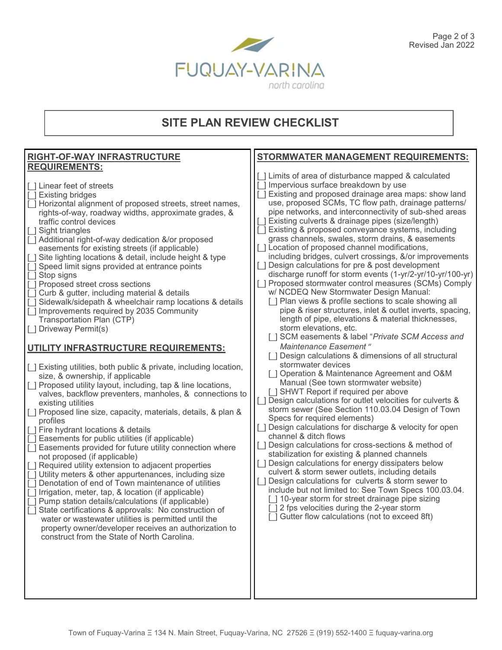

# **SITE PLAN REVIEW CHECKLIST**

#### **RIGHT-OF-WAY INFRASTRUCTURE REQUIREMENTS:** [\_] Linear feet of streets [\_] Existing bridges [] Horizontal alignment of proposed streets, street names, rights-of-way, roadway widths, approximate grades, & traffic control devices [ ] Sight triangles [\_] Additional right-of-way dedication &/or proposed easements for existing streets (if applicable) [] Site lighting locations & detail, include height & type Speed limit signs provided at entrance points [  $\vert$  Stop signs [ ] Proposed street cross sections  $\Box$  Curb & gutter, including material & details [] Sidewalk/sidepath & wheelchair ramp locations & details □ Improvements required by 2035 Community Transportation Plan (CTP) [] Driveway Permit(s) **UTILITY INFRASTRUCTURE REQUIREMENTS:** [] Existing utilities, both public & private, including location, size, & ownership, if applicable [ ] Proposed utility layout, including, tap & line locations, valves, backflow preventers, manholes, & connections to existing utilities [] Proposed line size, capacity, materials, details, & plan & profiles [] Fire hydrant locations & details  $\Box$  Easements for public utilities (if applicable)  $\overline{[}$  Easements provided for future utility connection where not proposed (if applicable) [ ] Required utility extension to adjacent properties  $\sqrt{ }$  Utility meters & other appurtenances, including size [] Denotation of end of Town maintenance of utilities  $\sqrt{ }$  Irrigation, meter, tap, & location (if applicable)  $\Box$  Pump station details/calculations (if applicable) [] State certifications & approvals: No construction of water or wastewater utilities is permitted until the property owner/developer receives an authorization to construct from the State of North Carolina. **STORMWATER MANAGEMENT REQUIREMENTS:** [ ] Limits of area of disturbance mapped & calculated  $\Box$  Impervious surface breakdown by use [\_] Existing and proposed drainage area maps: show land use, proposed SCMs, TC flow path, drainage patterns/ pipe networks, and interconnectivity of sub-shed areas [] Existing culverts & drainage pipes (size/length) [ ] Existing & proposed conveyance systems, including grass channels, swales, storm drains, & easements [] Location of proposed channel modifications, including bridges, culvert crossings, &/or improvements [ ] Design calculations for pre & post development discharge runoff for storm events (1-yr/2-yr/10-yr/100-yr) [ ] Proposed stormwater control measures (SCMs) Comply w/ NCDEQ New Stormwater Design Manual: [] Plan views & profile sections to scale showing all pipe & riser structures, inlet & outlet inverts, spacing, length of pipe, elevations & material thicknesses, storm elevations, etc. [<sup>1</sup>] SCM easements & label "*Private SCM Access and Maintenance Easement* " [] Design calculations & dimensions of all structural stormwater devices [] Operation & Maintenance Agreement and O&M Manual (See town stormwater website) [] SHWT Report if required per above [] Design calculations for outlet velocities for culverts & storm sewer (See Section 110.03.04 Design of Town Specs for required elements) [] Design calculations for discharge & velocity for open channel & ditch flows [] Design calculations for cross-sections & method of stabilization for existing & planned channels [ $|$ ] Design calculations for energy dissipaters below culvert & storm sewer outlets, including details [] Design calculations for culverts & storm sewer to include but not limited to: See Town Specs 100.03.04. [ ] 10-year storm for street drainage pipe sizing 2 fps velocities during the 2-year storm [ ] Gutter flow calculations (not to exceed 8ft)